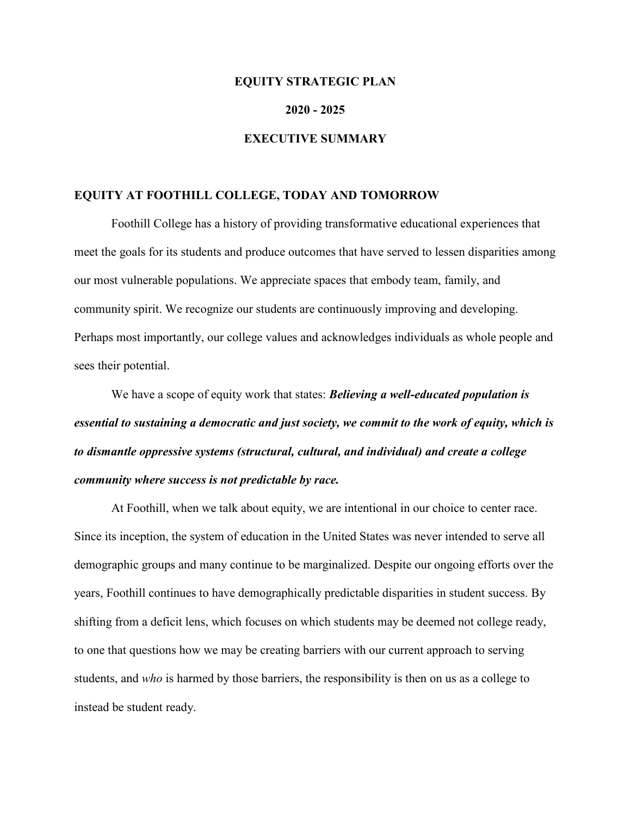#### **EQUITY STRATEGIC PLAN**

#### **2020 - 2025**

### **EXECUTIVE SUMMARY**

### **EQUITY AT FOOTHILL COLLEGE, TODAY AND TOMORROW**

Foothill College has a history of providing transformative educational experiences that meet the goals for its students and produce outcomes that have served to lessen disparities among our most vulnerable populations. We appreciate spaces that embody team, family, and community spirit. We recognize our students are continuously improving and developing. Perhaps most importantly, our college values and acknowledges individuals as whole people and sees their potential.

We have a scope of equity work that states: *Believing a well-educated population is essential to sustaining a democratic and just society, we commit to the work of equity, which is to dismantle oppressive systems (structural, cultural, and individual) and create a college community where success is not predictable by race.*

At Foothill, when we talk about equity, we are intentional in our choice to center race. Since its inception, the system of education in the United States was never intended to serve all demographic groups and many continue to be marginalized. Despite our ongoing efforts over the years, Foothill continues to have demographically predictable disparities in student success. By shifting from a deficit lens, which focuses on which students may be deemed not college ready, to one that questions how we may be creating barriers with our current approach to serving students, and *who* is harmed by those barriers, the responsibility is then on us as a college to instead be student ready.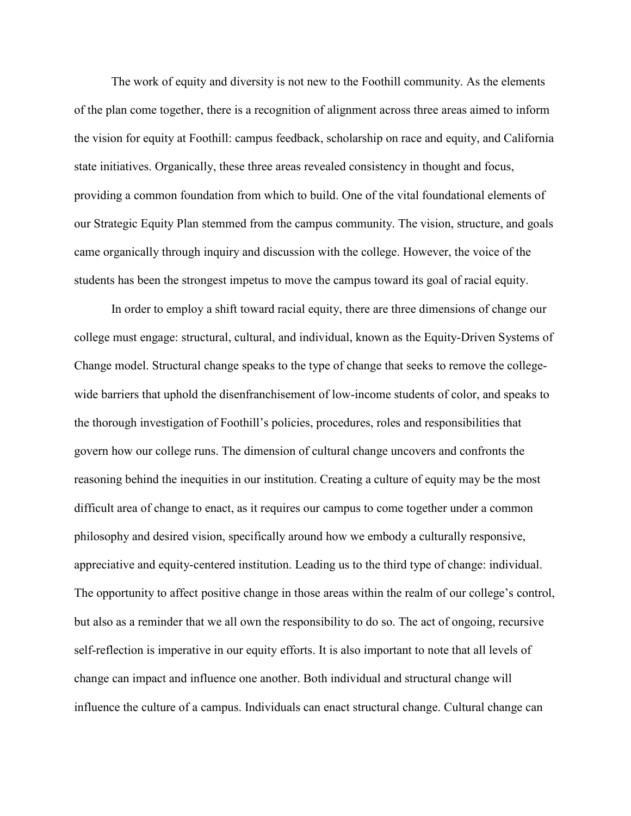The work of equity and diversity is not new to the Foothill community. As the elements of the plan come together, there is a recognition of alignment across three areas aimed to inform the vision for equity at Foothill: campus feedback, scholarship on race and equity, and California state initiatives. Organically, these three areas revealed consistency in thought and focus, providing a common foundation from which to build. One of the vital foundational elements of our Strategic Equity Plan stemmed from the campus community. The vision, structure, and goals came organically through inquiry and discussion with the college. However, the voice of the students has been the strongest impetus to move the campus toward its goal of racial equity.

In order to employ a shift toward racial equity, there are three dimensions of change our college must engage: structural, cultural, and individual, known as the Equity-Driven Systems of Change model. Structural change speaks to the type of change that seeks to remove the collegewide barriers that uphold the disenfranchisement of low-income students of color, and speaks to the thorough investigation of Foothill's policies, procedures, roles and responsibilities that govern how our college runs. The dimension of cultural change uncovers and confronts the reasoning behind the inequities in our institution. Creating a culture of equity may be the most difficult area of change to enact, as it requires our campus to come together under a common philosophy and desired vision, specifically around how we embody a culturally responsive, appreciative and equity-centered institution. Leading us to the third type of change: individual. The opportunity to affect positive change in those areas within the realm of our college's control, but also as a reminder that we all own the responsibility to do so. The act of ongoing, recursive self-reflection is imperative in our equity efforts. It is also important to note that all levels of change can impact and influence one another. Both individual and structural change will influence the culture of a campus. Individuals can enact structural change. Cultural change can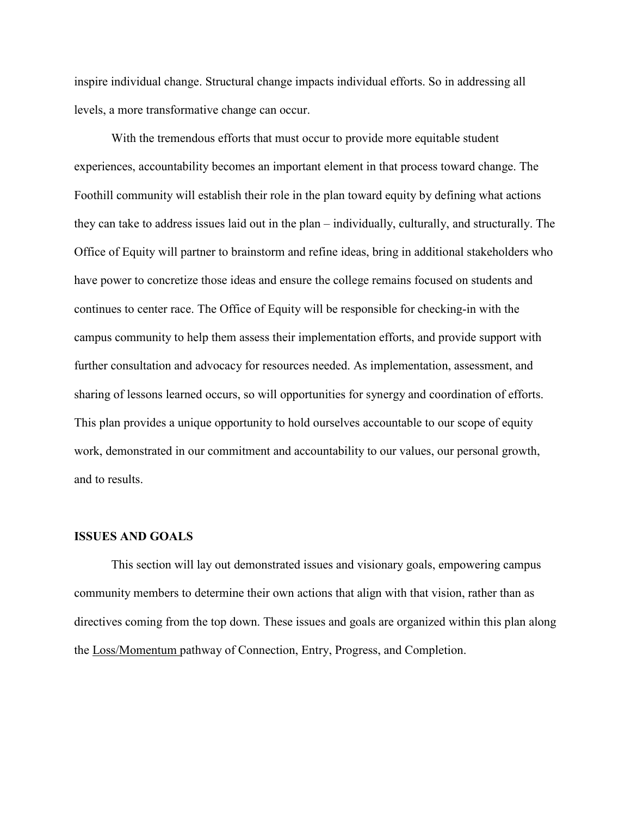inspire individual change. Structural change impacts individual efforts. So in addressing all levels, a more transformative change can occur.

With the tremendous efforts that must occur to provide more equitable student experiences, accountability becomes an important element in that process toward change. The Foothill community will establish their role in the plan toward equity by defining what actions they can take to address issues laid out in the plan – individually, culturally, and structurally. The Office of Equity will partner to brainstorm and refine ideas, bring in additional stakeholders who have power to concretize those ideas and ensure the college remains focused on students and continues to center race. The Office of Equity will be responsible for checking-in with the campus community to help them assess their implementation efforts, and provide support with further consultation and advocacy for resources needed. As implementation, assessment, and sharing of lessons learned occurs, so will opportunities for synergy and coordination of efforts. This plan provides a unique opportunity to hold ourselves accountable to our scope of equity work, demonstrated in our commitment and accountability to our values, our personal growth, and to results.

#### **ISSUES AND GOALS**

This section will lay out demonstrated issues and visionary goals, empowering campus community members to determine their own actions that align with that vision, rather than as directives coming from the top down. These issues and goals are organized within this plan along the Loss/Momentum pathway of Connection, Entry, Progress, and Completion.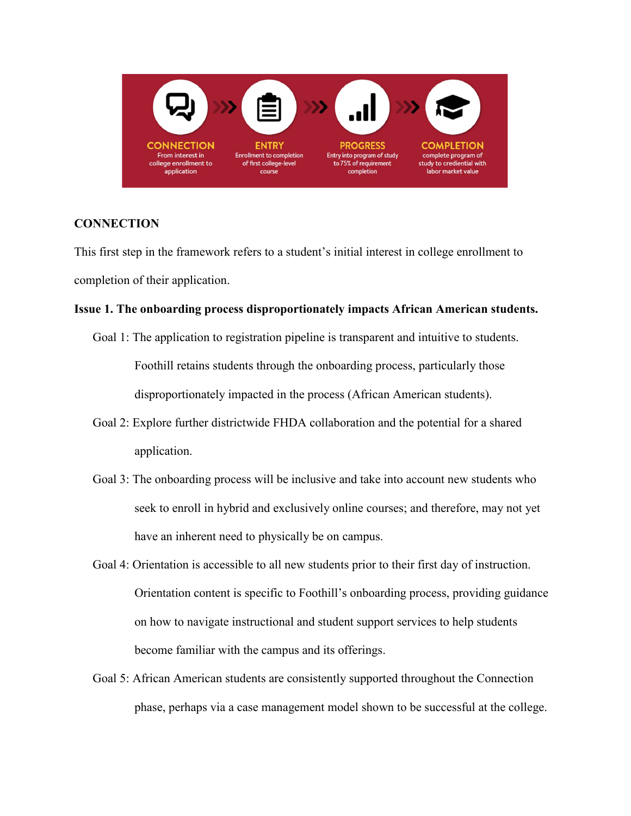

### **CONNECTION**

This first step in the framework refers to a student's initial interest in college enrollment to completion of their application.

### **Issue 1. The onboarding process disproportionately impacts African American students.**

- Goal 1: The application to registration pipeline is transparent and intuitive to students. Foothill retains students through the onboarding process, particularly those disproportionately impacted in the process (African American students).
- Goal 2: Explore further districtwide FHDA collaboration and the potential for a shared application.
- Goal 3: The onboarding process will be inclusive and take into account new students who seek to enroll in hybrid and exclusively online courses; and therefore, may not yet have an inherent need to physically be on campus.
- Goal 4: Orientation is accessible to all new students prior to their first day of instruction. Orientation content is specific to Foothill's onboarding process, providing guidance on how to navigate instructional and student support services to help students become familiar with the campus and its offerings.
- Goal 5: African American students are consistently supported throughout the Connection phase, perhaps via a case management model shown to be successful at the college.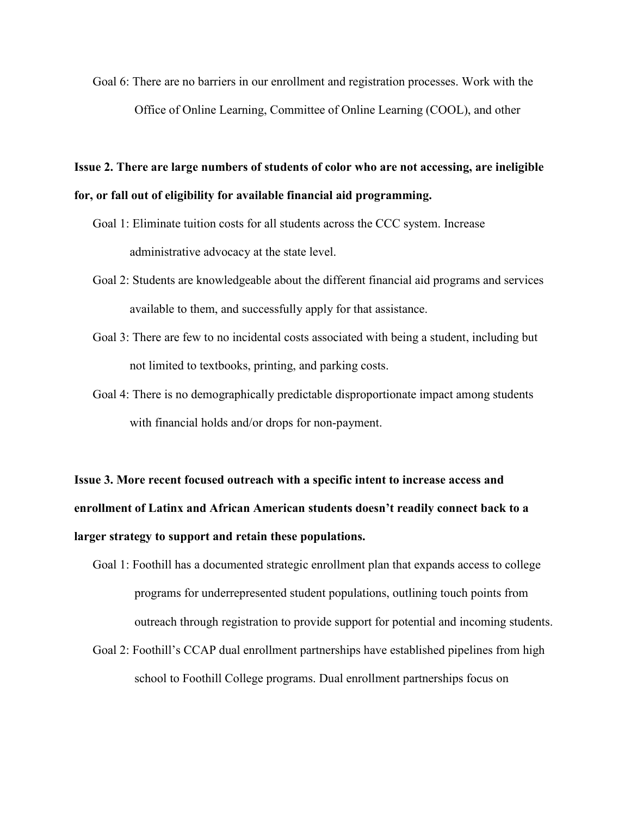Goal 6: There are no barriers in our enrollment and registration processes. Work with the Office of Online Learning, Committee of Online Learning (COOL), and other

# **Issue 2. There are large numbers of students of color who are not accessing, are ineligible for, or fall out of eligibility for available financial aid programming.**

- Goal 1: Eliminate tuition costs for all students across the CCC system. Increase administrative advocacy at the state level.
- Goal 2: Students are knowledgeable about the different financial aid programs and services available to them, and successfully apply for that assistance.
- Goal 3: There are few to no incidental costs associated with being a student, including but not limited to textbooks, printing, and parking costs.
- Goal 4: There is no demographically predictable disproportionate impact among students with financial holds and/or drops for non-payment.

# **Issue 3. More recent focused outreach with a specific intent to increase access and enrollment of Latinx and African American students doesn't readily connect back to a larger strategy to support and retain these populations.**

- Goal 1: Foothill has a documented strategic enrollment plan that expands access to college programs for underrepresented student populations, outlining touch points from outreach through registration to provide support for potential and incoming students.
- Goal 2: Foothill's CCAP dual enrollment partnerships have established pipelines from high school to Foothill College programs. Dual enrollment partnerships focus on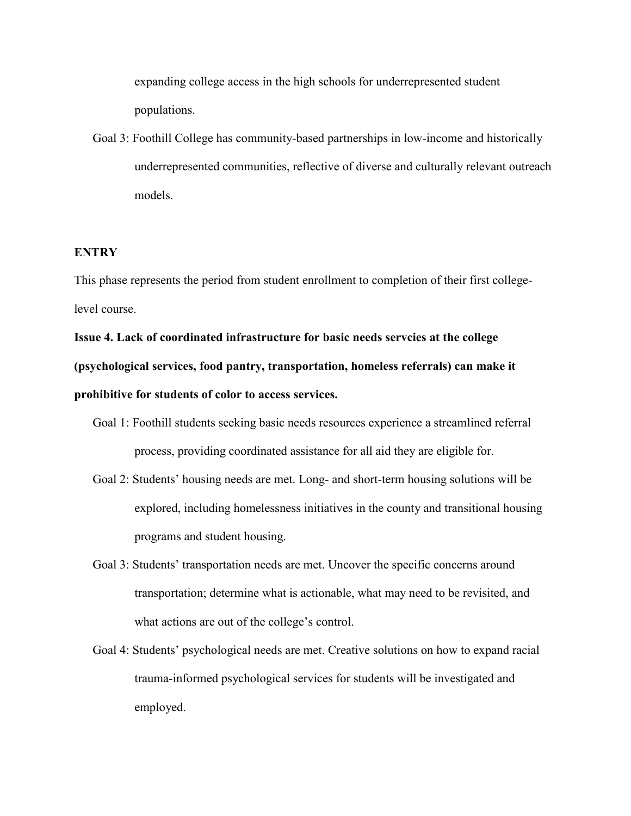expanding college access in the high schools for underrepresented student populations.

Goal 3: Foothill College has community-based partnerships in low-income and historically underrepresented communities, reflective of diverse and culturally relevant outreach models.

#### **ENTRY**

This phase represents the period from student enrollment to completion of their first collegelevel course.

**Issue 4. Lack of coordinated infrastructure for basic needs servcies at the college (psychological services, food pantry, transportation, homeless referrals) can make it prohibitive for students of color to access services.**

- Goal 1: Foothill students seeking basic needs resources experience a streamlined referral process, providing coordinated assistance for all aid they are eligible for.
- Goal 2: Students' housing needs are met. Long- and short-term housing solutions will be explored, including homelessness initiatives in the county and transitional housing programs and student housing.
- Goal 3: Students' transportation needs are met. Uncover the specific concerns around transportation; determine what is actionable, what may need to be revisited, and what actions are out of the college's control.
- Goal 4: Students' psychological needs are met. Creative solutions on how to expand racial trauma-informed psychological services for students will be investigated and employed.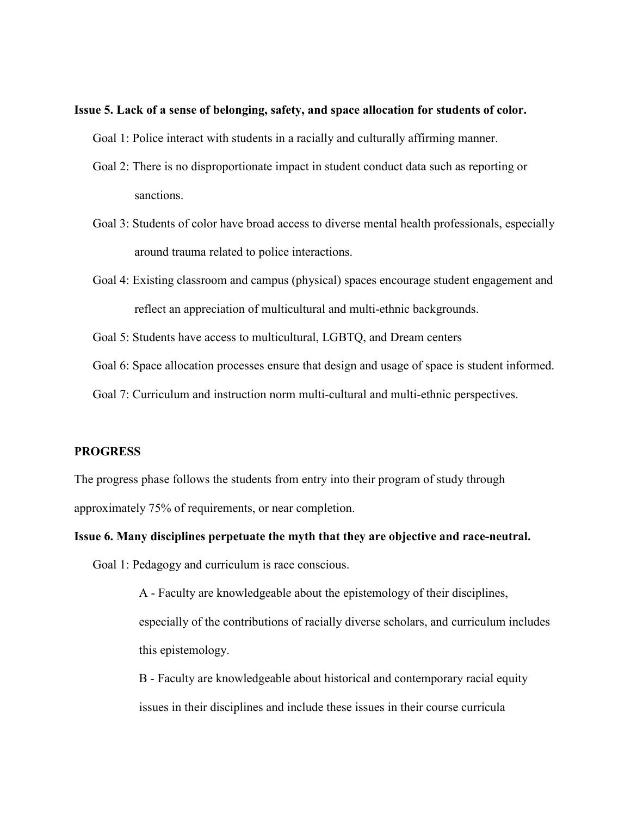- **Issue 5. Lack of a sense of belonging, safety, and space allocation for students of color.**
	- Goal 1: Police interact with students in a racially and culturally affirming manner.
	- Goal 2: There is no disproportionate impact in student conduct data such as reporting or sanctions.
	- Goal 3: Students of color have broad access to diverse mental health professionals, especially around trauma related to police interactions.
	- Goal 4: Existing classroom and campus (physical) spaces encourage student engagement and reflect an appreciation of multicultural and multi-ethnic backgrounds.
	- Goal 5: Students have access to multicultural, LGBTQ, and Dream centers
	- Goal 6: Space allocation processes ensure that design and usage of space is student informed.
	- Goal 7: Curriculum and instruction norm multi-cultural and multi-ethnic perspectives.

#### **PROGRESS**

The progress phase follows the students from entry into their program of study through approximately 75% of requirements, or near completion.

#### **Issue 6. Many disciplines perpetuate the myth that they are objective and race-neutral.**

Goal 1: Pedagogy and curriculum is race conscious.

A - Faculty are knowledgeable about the epistemology of their disciplines, especially of the contributions of racially diverse scholars, and curriculum includes this epistemology.

B - Faculty are knowledgeable about historical and contemporary racial equity issues in their disciplines and include these issues in their course curricula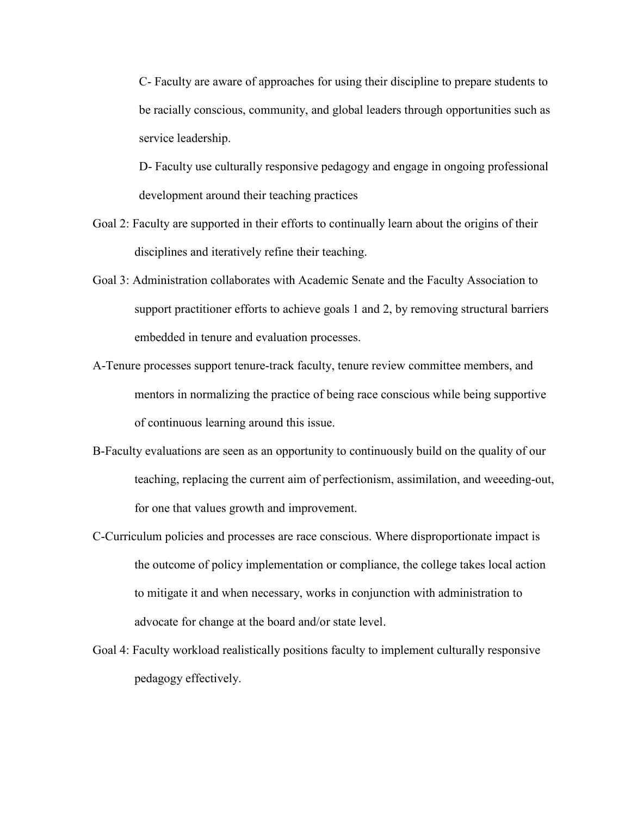C- Faculty are aware of approaches for using their discipline to prepare students to be racially conscious, community, and global leaders through opportunities such as service leadership.

D- Faculty use culturally responsive pedagogy and engage in ongoing professional development around their teaching practices

- Goal 2: Faculty are supported in their efforts to continually learn about the origins of their disciplines and iteratively refine their teaching.
- Goal 3: Administration collaborates with Academic Senate and the Faculty Association to support practitioner efforts to achieve goals 1 and 2, by removing structural barriers embedded in tenure and evaluation processes.
- A-Tenure processes support tenure-track faculty, tenure review committee members, and mentors in normalizing the practice of being race conscious while being supportive of continuous learning around this issue.
- B-Faculty evaluations are seen as an opportunity to continuously build on the quality of our teaching, replacing the current aim of perfectionism, assimilation, and weeeding-out, for one that values growth and improvement.
- C-Curriculum policies and processes are race conscious. Where disproportionate impact is the outcome of policy implementation or compliance, the college takes local action to mitigate it and when necessary, works in conjunction with administration to advocate for change at the board and/or state level.
- Goal 4: Faculty workload realistically positions faculty to implement culturally responsive pedagogy effectively.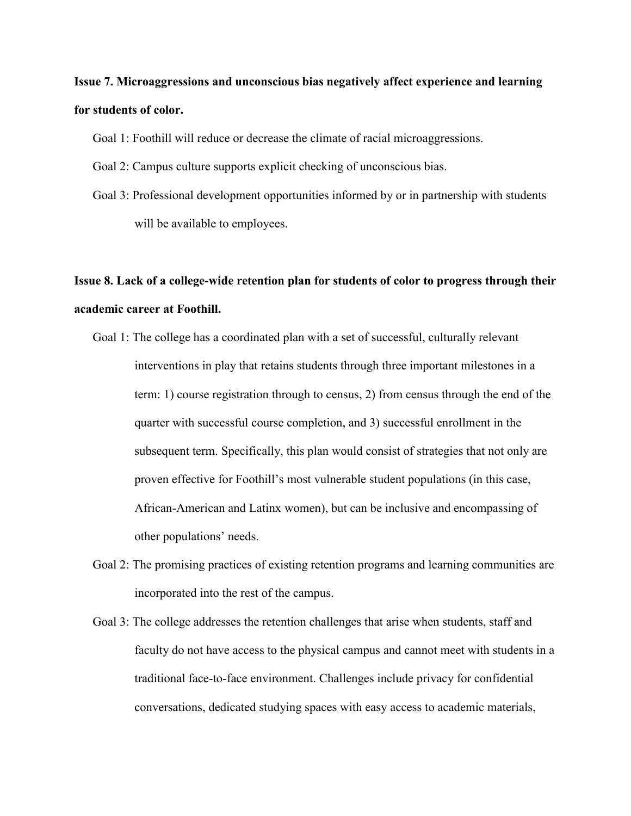# **Issue 7. Microaggressions and unconscious bias negatively affect experience and learning for students of color.**

Goal 1: Foothill will reduce or decrease the climate of racial microaggressions.

- Goal 2: Campus culture supports explicit checking of unconscious bias.
- Goal 3: Professional development opportunities informed by or in partnership with students will be available to employees.

# **Issue 8. Lack of a college-wide retention plan for students of color to progress through their academic career at Foothill.**

- Goal 1: The college has a coordinated plan with a set of successful, culturally relevant interventions in play that retains students through three important milestones in a term: 1) course registration through to census, 2) from census through the end of the quarter with successful course completion, and 3) successful enrollment in the subsequent term. Specifically, this plan would consist of strategies that not only are proven effective for Foothill's most vulnerable student populations (in this case, African-American and Latinx women), but can be inclusive and encompassing of other populations' needs.
- Goal 2: The promising practices of existing retention programs and learning communities are incorporated into the rest of the campus.
- Goal 3: The college addresses the retention challenges that arise when students, staff and faculty do not have access to the physical campus and cannot meet with students in a traditional face-to-face environment. Challenges include privacy for confidential conversations, dedicated studying spaces with easy access to academic materials,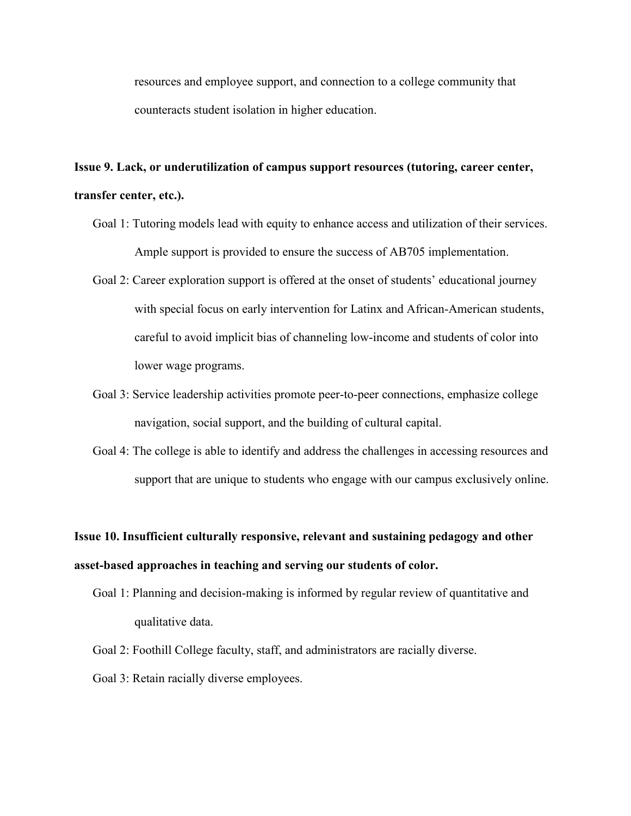resources and employee support, and connection to a college community that counteracts student isolation in higher education.

### **Issue 9. Lack, or underutilization of campus support resources (tutoring, career center, transfer center, etc.).**

- Goal 1: Tutoring models lead with equity to enhance access and utilization of their services. Ample support is provided to ensure the success of AB705 implementation.
- Goal 2: Career exploration support is offered at the onset of students' educational journey with special focus on early intervention for Latinx and African-American students, careful to avoid implicit bias of channeling low-income and students of color into lower wage programs.
- Goal 3: Service leadership activities promote peer-to-peer connections, emphasize college navigation, social support, and the building of cultural capital.
- Goal 4: The college is able to identify and address the challenges in accessing resources and support that are unique to students who engage with our campus exclusively online.

# **Issue 10. Insufficient culturally responsive, relevant and sustaining pedagogy and other asset-based approaches in teaching and serving our students of color.**

- Goal 1: Planning and decision-making is informed by regular review of quantitative and qualitative data.
- Goal 2: Foothill College faculty, staff, and administrators are racially diverse.
- Goal 3: Retain racially diverse employees.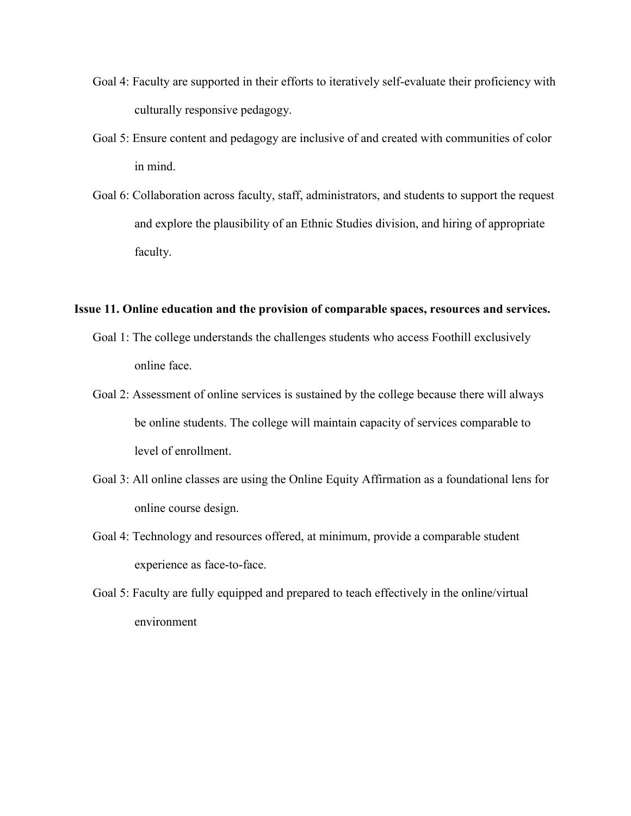- Goal 4: Faculty are supported in their efforts to iteratively self-evaluate their proficiency with culturally responsive pedagogy.
- Goal 5: Ensure content and pedagogy are inclusive of and created with communities of color in mind.
- Goal 6: Collaboration across faculty, staff, administrators, and students to support the request and explore the plausibility of an Ethnic Studies division, and hiring of appropriate faculty.

#### **Issue 11. Online education and the provision of comparable spaces, resources and services.**

- Goal 1: The college understands the challenges students who access Foothill exclusively online face.
- Goal 2: Assessment of online services is sustained by the college because there will always be online students. The college will maintain capacity of services comparable to level of enrollment.
- Goal 3: All online classes are using the Online Equity Affirmation as a foundational lens for online course design.
- Goal 4: Technology and resources offered, at minimum, provide a comparable student experience as face-to-face.
- Goal 5: Faculty are fully equipped and prepared to teach effectively in the online/virtual environment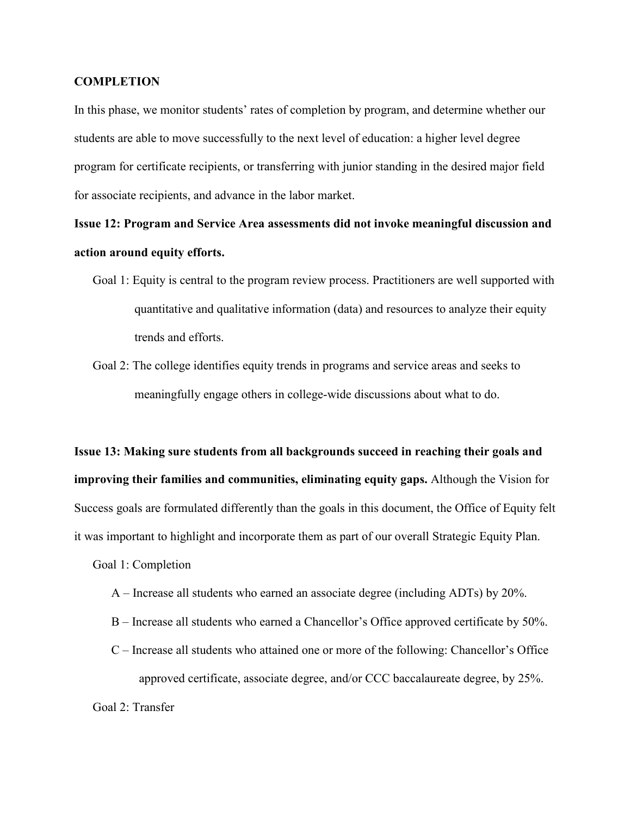### **COMPLETION**

In this phase, we monitor students' rates of completion by program, and determine whether our students are able to move successfully to the next level of education: a higher level degree program for certificate recipients, or transferring with junior standing in the desired major field for associate recipients, and advance in the labor market.

# **Issue 12: Program and Service Area assessments did not invoke meaningful discussion and action around equity efforts.**

- Goal 1: Equity is central to the program review process. Practitioners are well supported with quantitative and qualitative information (data) and resources to analyze their equity trends and efforts.
- Goal 2: The college identifies equity trends in programs and service areas and seeks to meaningfully engage others in college-wide discussions about what to do.

**Issue 13: Making sure students from all backgrounds succeed in reaching their goals and improving their families and communities, eliminating equity gaps.** Although the Vision for Success goals are formulated differently than the goals in this document, the Office of Equity felt it was important to highlight and incorporate them as part of our overall Strategic Equity Plan.

Goal 1: Completion

- A Increase all students who earned an associate degree (including ADTs) by 20%.
- B Increase all students who earned a Chancellor's Office approved certificate by 50%.
- C Increase all students who attained one or more of the following: Chancellor's Office approved certificate, associate degree, and/or CCC baccalaureate degree, by 25%.

Goal 2: Transfer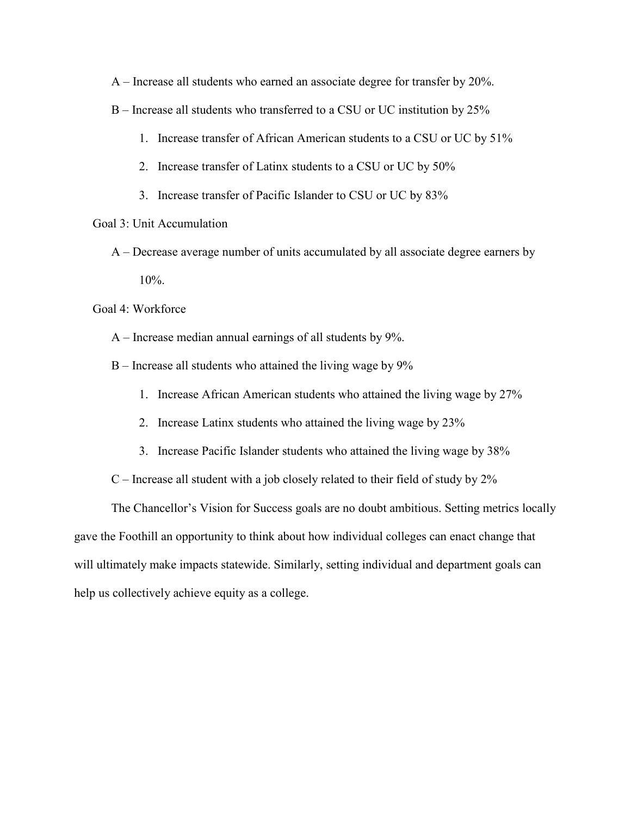A – Increase all students who earned an associate degree for transfer by 20%.

- B Increase all students who transferred to a CSU or UC institution by 25%
	- 1. Increase transfer of African American students to a CSU or UC by 51%
	- 2. Increase transfer of Latinx students to a CSU or UC by 50%
	- 3. Increase transfer of Pacific Islander to CSU or UC by 83%
- Goal 3: Unit Accumulation
	- A Decrease average number of units accumulated by all associate degree earners by 10%.

Goal 4: Workforce

- A Increase median annual earnings of all students by 9%.
- B Increase all students who attained the living wage by 9%
	- 1. Increase African American students who attained the living wage by 27%
	- 2. Increase Latinx students who attained the living wage by 23%
	- 3. Increase Pacific Islander students who attained the living wage by 38%
- $C$  Increase all student with a job closely related to their field of study by  $2\%$

The Chancellor's Vision for Success goals are no doubt ambitious. Setting metrics locally gave the Foothill an opportunity to think about how individual colleges can enact change that will ultimately make impacts statewide. Similarly, setting individual and department goals can help us collectively achieve equity as a college.